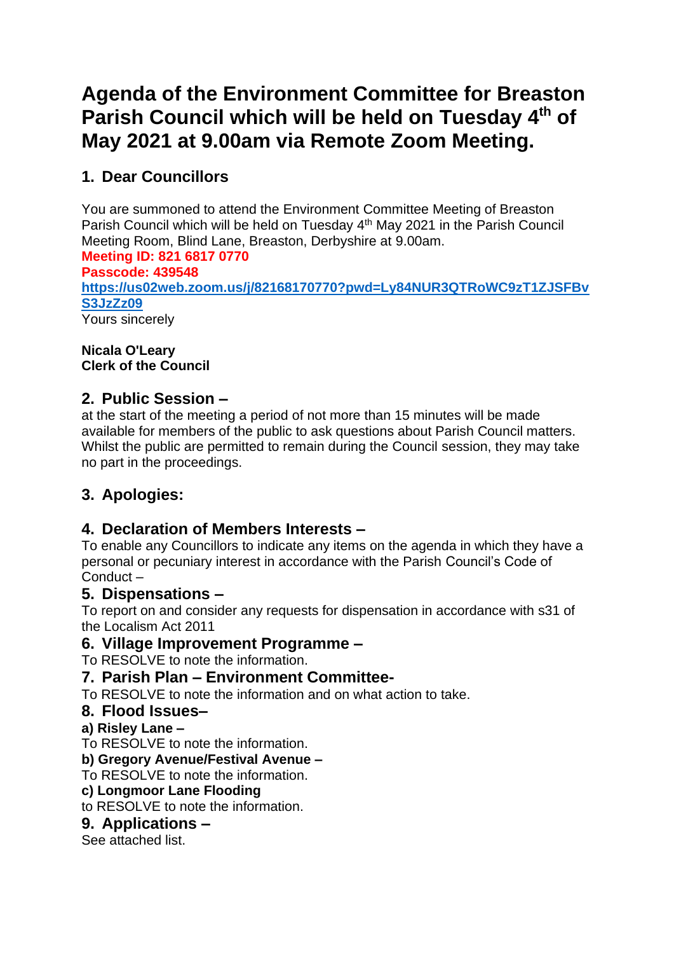# **Agenda of the Environment Committee for Breaston**  Parish Council which will be held on Tuesday 4<sup>th</sup> of **May 2021 at 9.00am via Remote Zoom Meeting.**

# **1. Dear Councillors**

You are summoned to attend the Environment Committee Meeting of Breaston Parish Council which will be held on Tuesday 4<sup>th</sup> May 2021 in the Parish Council Meeting Room, Blind Lane, Breaston, Derbyshire at 9.00am.

# **Meeting ID: 821 6817 0770**

**Passcode: 439548 [https://us02web.zoom.us/j/82168170770?pwd=Ly84NUR3QTRoWC9zT1ZJSFBv](https://us02web.zoom.us/j/82168170770?pwd=Ly84NUR3QTRoWC9zT1ZJSFBvS3JzZz09) [S3JzZz09](https://us02web.zoom.us/j/82168170770?pwd=Ly84NUR3QTRoWC9zT1ZJSFBvS3JzZz09)** Yours sincerely

#### **Nicala O'Leary Clerk of the Council**

# **2. Public Session –**

at the start of the meeting a period of not more than 15 minutes will be made available for members of the public to ask questions about Parish Council matters. Whilst the public are permitted to remain during the Council session, they may take no part in the proceedings.

# **3. Apologies:**

# **4. Declaration of Members Interests –**

To enable any Councillors to indicate any items on the agenda in which they have a personal or pecuniary interest in accordance with the Parish Council's Code of Conduct –

### **5. Dispensations –**

To report on and consider any requests for dispensation in accordance with s31 of the Localism Act 2011

### **6. Village Improvement Programme –**

To RESOLVE to note the information.

### **7. Parish Plan – Environment Committee-**

To RESOLVE to note the information and on what action to take.

#### **8. Flood Issues–**

#### **a) Risley Lane –**

To RESOLVE to note the information.

#### **b) Gregory Avenue/Festival Avenue –**

To RESOLVE to note the information.

#### **c) Longmoor Lane Flooding**

to RESOLVE to note the information.

#### **9. Applications –**

See attached list.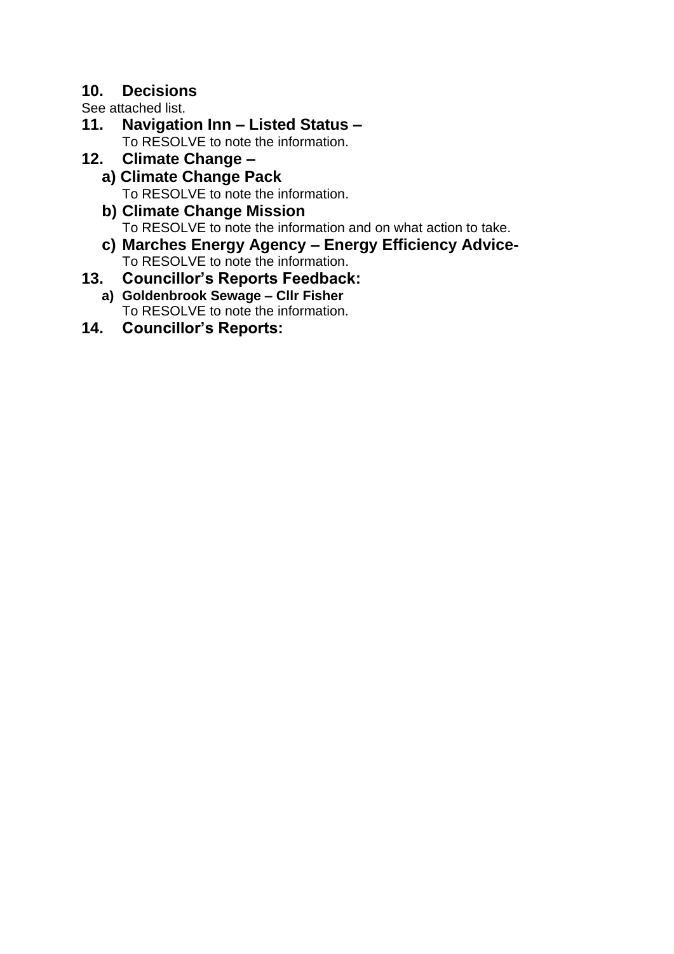## **10. Decisions**

See attached list.

- **11. Navigation Inn – Listed Status –** To RESOLVE to note the information.
- **12. Climate Change –**
	- **a) Climate Change Pack** To RESOLVE to note the information.
	- **b) Climate Change Mission** To RESOLVE to note the information and on what action to take.
	- **c) Marches Energy Agency – Energy Efficiency Advice-**To RESOLVE to note the information.
- **13. Councillor's Reports Feedback: a) Goldenbrook Sewage – Cllr Fisher**

To RESOLVE to note the information.

**14. Councillor's Reports:**